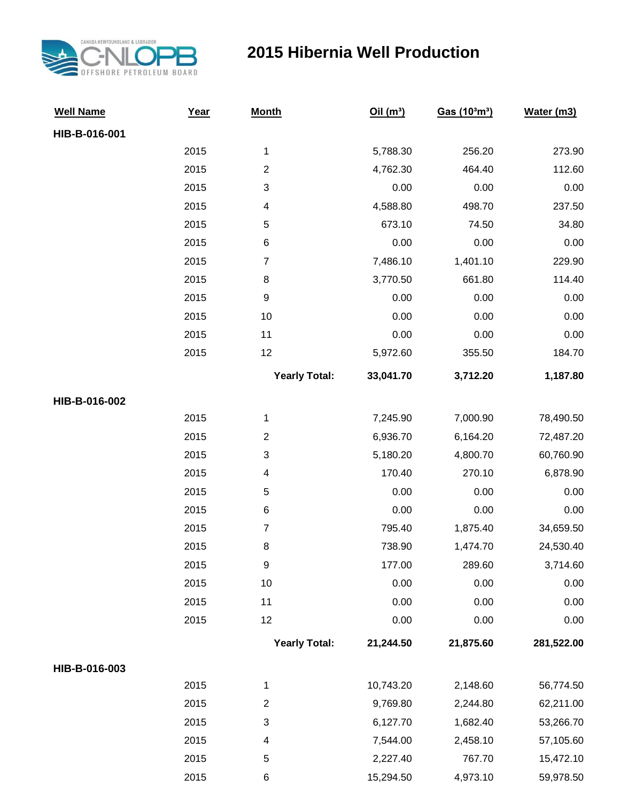

## **2015 Hibernia Well Production**

| <b>Well Name</b> | Year | <b>Month</b>         | Oil(m <sup>3</sup> ) | Gas (10 <sup>3</sup> m <sup>3</sup> ) | Water (m3) |
|------------------|------|----------------------|----------------------|---------------------------------------|------------|
| HIB-B-016-001    |      |                      |                      |                                       |            |
|                  | 2015 | $\mathbf{1}$         | 5,788.30             | 256.20                                | 273.90     |
|                  | 2015 | $\overline{2}$       | 4,762.30             | 464.40                                | 112.60     |
|                  | 2015 | 3                    | 0.00                 | 0.00                                  | 0.00       |
|                  | 2015 | 4                    | 4,588.80             | 498.70                                | 237.50     |
|                  | 2015 | 5                    | 673.10               | 74.50                                 | 34.80      |
|                  | 2015 | 6                    | 0.00                 | 0.00                                  | 0.00       |
|                  | 2015 | $\overline{7}$       | 7,486.10             | 1,401.10                              | 229.90     |
|                  | 2015 | 8                    | 3,770.50             | 661.80                                | 114.40     |
|                  | 2015 | $\boldsymbol{9}$     | 0.00                 | 0.00                                  | 0.00       |
|                  | 2015 | 10                   | 0.00                 | 0.00                                  | 0.00       |
|                  | 2015 | 11                   | 0.00                 | 0.00                                  | 0.00       |
|                  | 2015 | 12                   | 5,972.60             | 355.50                                | 184.70     |
|                  |      | <b>Yearly Total:</b> | 33,041.70            | 3,712.20                              | 1,187.80   |
| HIB-B-016-002    |      |                      |                      |                                       |            |
|                  | 2015 | $\mathbf{1}$         | 7,245.90             | 7,000.90                              | 78,490.50  |
|                  | 2015 | $\overline{2}$       | 6,936.70             | 6,164.20                              | 72,487.20  |
|                  | 2015 | 3                    | 5,180.20             | 4,800.70                              | 60,760.90  |
|                  | 2015 | 4                    | 170.40               | 270.10                                | 6,878.90   |
|                  | 2015 | 5                    | 0.00                 | 0.00                                  | 0.00       |
|                  | 2015 | 6                    | 0.00                 | 0.00                                  | 0.00       |
|                  | 2015 | $\overline{7}$       | 795.40               | 1,875.40                              | 34,659.50  |
|                  | 2015 | 8                    | 738.90               | 1,474.70                              | 24,530.40  |
|                  | 2015 | $\boldsymbol{9}$     | 177.00               | 289.60                                | 3,714.60   |
|                  | 2015 | 10                   | 0.00                 | 0.00                                  | 0.00       |
|                  | 2015 | 11                   | 0.00                 | 0.00                                  | 0.00       |
|                  | 2015 | 12                   | 0.00                 | 0.00                                  | 0.00       |
|                  |      | <b>Yearly Total:</b> | 21,244.50            | 21,875.60                             | 281,522.00 |
| HIB-B-016-003    |      |                      |                      |                                       |            |
|                  | 2015 | $\mathbf{1}$         | 10,743.20            | 2,148.60                              | 56,774.50  |
|                  | 2015 | $\overline{c}$       | 9,769.80             | 2,244.80                              | 62,211.00  |
|                  | 2015 | 3                    | 6,127.70             | 1,682.40                              | 53,266.70  |
|                  | 2015 | 4                    | 7,544.00             | 2,458.10                              | 57,105.60  |
|                  | 2015 | 5                    | 2,227.40             | 767.70                                | 15,472.10  |
|                  | 2015 | 6                    | 15,294.50            | 4,973.10                              | 59,978.50  |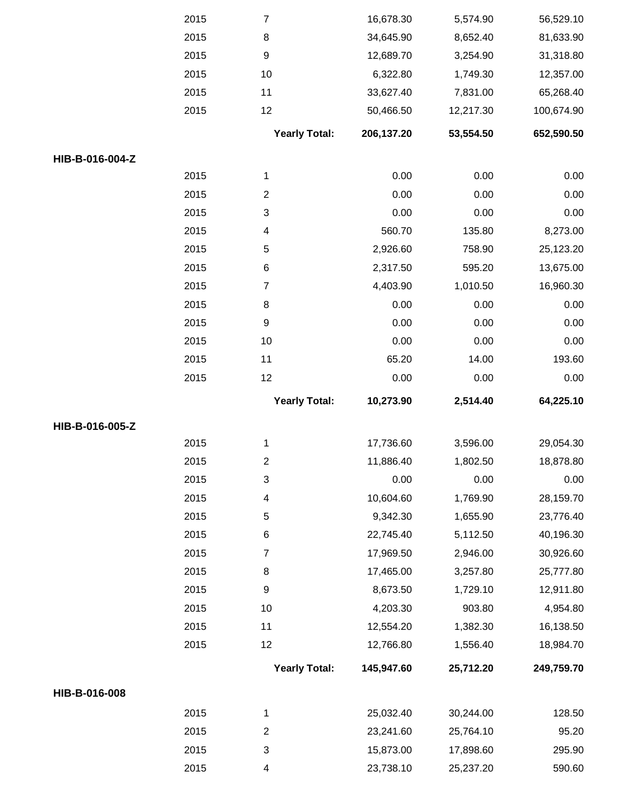|                 | 2015 | $\overline{7}$            | 16,678.30  | 5,574.90  | 56,529.10  |
|-----------------|------|---------------------------|------------|-----------|------------|
|                 | 2015 | 8                         | 34,645.90  | 8,652.40  | 81,633.90  |
|                 | 2015 | 9                         | 12,689.70  | 3,254.90  | 31,318.80  |
|                 | 2015 | 10                        | 6,322.80   | 1,749.30  | 12,357.00  |
|                 | 2015 | 11                        | 33,627.40  | 7,831.00  | 65,268.40  |
|                 | 2015 | 12                        | 50,466.50  | 12,217.30 | 100,674.90 |
|                 |      | <b>Yearly Total:</b>      | 206,137.20 | 53,554.50 | 652,590.50 |
| HIB-B-016-004-Z |      |                           |            |           |            |
|                 | 2015 | $\mathbf{1}$              | 0.00       | 0.00      | 0.00       |
|                 | 2015 | $\overline{c}$            | 0.00       | 0.00      | 0.00       |
|                 | 2015 | $\ensuremath{\mathsf{3}}$ | 0.00       | 0.00      | 0.00       |
|                 | 2015 | 4                         | 560.70     | 135.80    | 8,273.00   |
|                 | 2015 | 5                         | 2,926.60   | 758.90    | 25,123.20  |
|                 | 2015 | 6                         | 2,317.50   | 595.20    | 13,675.00  |
|                 | 2015 | 7                         | 4,403.90   | 1,010.50  | 16,960.30  |
|                 | 2015 | 8                         | 0.00       | 0.00      | 0.00       |
|                 | 2015 | 9                         | 0.00       | 0.00      | 0.00       |
|                 | 2015 | 10                        | 0.00       | 0.00      | 0.00       |
|                 | 2015 | 11                        | 65.20      | 14.00     | 193.60     |
|                 | 2015 | 12                        | 0.00       | 0.00      | 0.00       |
|                 |      | <b>Yearly Total:</b>      | 10,273.90  | 2,514.40  | 64,225.10  |
| HIB-B-016-005-Z |      |                           |            |           |            |
|                 | 2015 | 1                         | 17,736.60  | 3,596.00  | 29,054.30  |
|                 | 2015 | 2                         | 11,886.40  | 1,802.50  | 18,878.80  |
|                 | 2015 | $\ensuremath{\mathsf{3}}$ | 0.00       | 0.00      | 0.00       |
|                 | 2015 | 4                         | 10,604.60  | 1,769.90  | 28,159.70  |
|                 | 2015 | 5                         | 9,342.30   | 1,655.90  | 23,776.40  |
|                 | 2015 | 6                         | 22,745.40  | 5,112.50  | 40,196.30  |
|                 | 2015 | 7                         | 17,969.50  | 2,946.00  | 30,926.60  |
|                 | 2015 | 8                         | 17,465.00  | 3,257.80  | 25,777.80  |
|                 | 2015 | 9                         | 8,673.50   | 1,729.10  | 12,911.80  |
|                 | 2015 | 10                        | 4,203.30   | 903.80    | 4,954.80   |
|                 | 2015 | 11                        | 12,554.20  | 1,382.30  | 16,138.50  |
|                 | 2015 | 12                        | 12,766.80  | 1,556.40  | 18,984.70  |
|                 |      | <b>Yearly Total:</b>      | 145,947.60 | 25,712.20 | 249,759.70 |
| HIB-B-016-008   |      |                           |            |           |            |
|                 | 2015 | 1                         | 25,032.40  | 30,244.00 | 128.50     |
|                 | 2015 | $\overline{c}$            | 23,241.60  | 25,764.10 | 95.20      |
|                 |      |                           |            |           |            |
|                 | 2015 | $\ensuremath{\mathsf{3}}$ | 15,873.00  | 17,898.60 | 295.90     |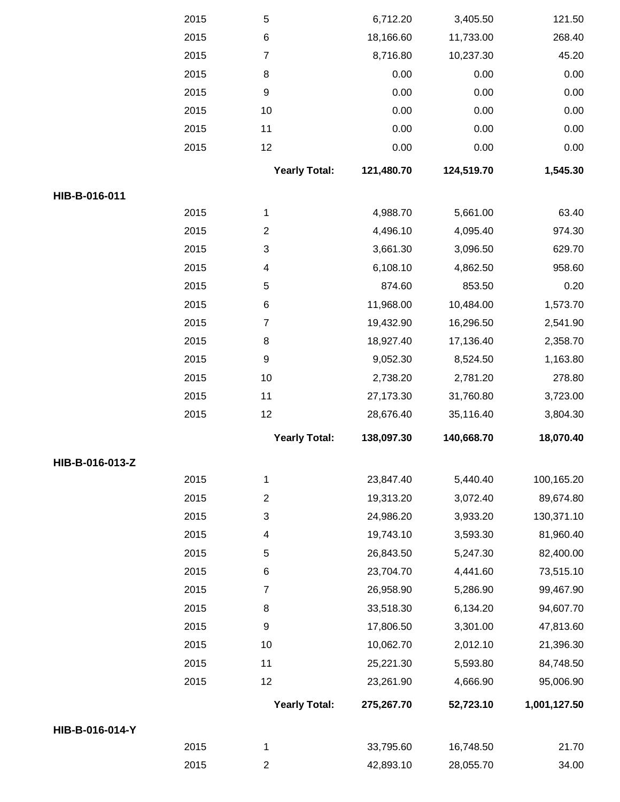|                 | 2015 | $\mathbf 5$          | 6,712.20   | 3,405.50   | 121.50       |
|-----------------|------|----------------------|------------|------------|--------------|
|                 | 2015 | 6                    | 18,166.60  | 11,733.00  | 268.40       |
|                 | 2015 | $\overline{7}$       | 8,716.80   | 10,237.30  | 45.20        |
|                 | 2015 | 8                    | 0.00       | 0.00       | 0.00         |
|                 | 2015 | $\boldsymbol{9}$     | 0.00       | 0.00       | 0.00         |
|                 | 2015 | 10                   | 0.00       | 0.00       | 0.00         |
|                 | 2015 | 11                   | 0.00       | 0.00       | 0.00         |
|                 | 2015 | 12                   | 0.00       | 0.00       | 0.00         |
|                 |      | <b>Yearly Total:</b> | 121,480.70 | 124,519.70 | 1,545.30     |
| HIB-B-016-011   |      |                      |            |            |              |
|                 | 2015 | $\mathbf{1}$         | 4,988.70   | 5,661.00   | 63.40        |
|                 | 2015 | $\overline{c}$       | 4,496.10   | 4,095.40   | 974.30       |
|                 | 2015 | 3                    | 3,661.30   | 3,096.50   | 629.70       |
|                 | 2015 | 4                    | 6,108.10   | 4,862.50   | 958.60       |
|                 | 2015 | 5                    | 874.60     | 853.50     | 0.20         |
|                 | 2015 | 6                    | 11,968.00  | 10,484.00  | 1,573.70     |
|                 | 2015 | $\overline{7}$       | 19,432.90  | 16,296.50  | 2,541.90     |
|                 | 2015 | 8                    | 18,927.40  | 17,136.40  | 2,358.70     |
|                 | 2015 | $\boldsymbol{9}$     | 9,052.30   | 8,524.50   | 1,163.80     |
|                 | 2015 | 10                   | 2,738.20   | 2,781.20   | 278.80       |
|                 | 2015 | 11                   | 27,173.30  | 31,760.80  | 3,723.00     |
|                 | 2015 | 12                   | 28,676.40  | 35,116.40  | 3,804.30     |
|                 |      | <b>Yearly Total:</b> | 138,097.30 | 140,668.70 | 18,070.40    |
| HIB-B-016-013-Z |      |                      |            |            |              |
|                 | 2015 | $\mathbf{1}$         | 23,847.40  | 5,440.40   | 100,165.20   |
|                 | 2015 | $\overline{2}$       | 19,313.20  | 3,072.40   | 89,674.80    |
|                 | 2015 | 3                    | 24,986.20  | 3,933.20   | 130,371.10   |
|                 | 2015 | 4                    | 19,743.10  | 3,593.30   | 81,960.40    |
|                 | 2015 | 5                    | 26,843.50  | 5,247.30   | 82,400.00    |
|                 | 2015 | 6                    | 23,704.70  | 4,441.60   | 73,515.10    |
|                 | 2015 | $\overline{7}$       | 26,958.90  | 5,286.90   | 99,467.90    |
|                 | 2015 | 8                    | 33,518.30  | 6,134.20   | 94,607.70    |
|                 | 2015 | $\boldsymbol{9}$     | 17,806.50  | 3,301.00   | 47,813.60    |
|                 | 2015 | 10                   | 10,062.70  | 2,012.10   | 21,396.30    |
|                 | 2015 | 11                   | 25,221.30  | 5,593.80   | 84,748.50    |
|                 | 2015 | 12                   | 23,261.90  | 4,666.90   | 95,006.90    |
|                 |      | <b>Yearly Total:</b> | 275,267.70 | 52,723.10  | 1,001,127.50 |
| HIB-B-016-014-Y |      |                      |            |            |              |
|                 | 2015 | 1                    | 33,795.60  | 16,748.50  | 21.70        |
|                 | 2015 | $\overline{2}$       | 42,893.10  | 28,055.70  | 34.00        |
|                 |      |                      |            |            |              |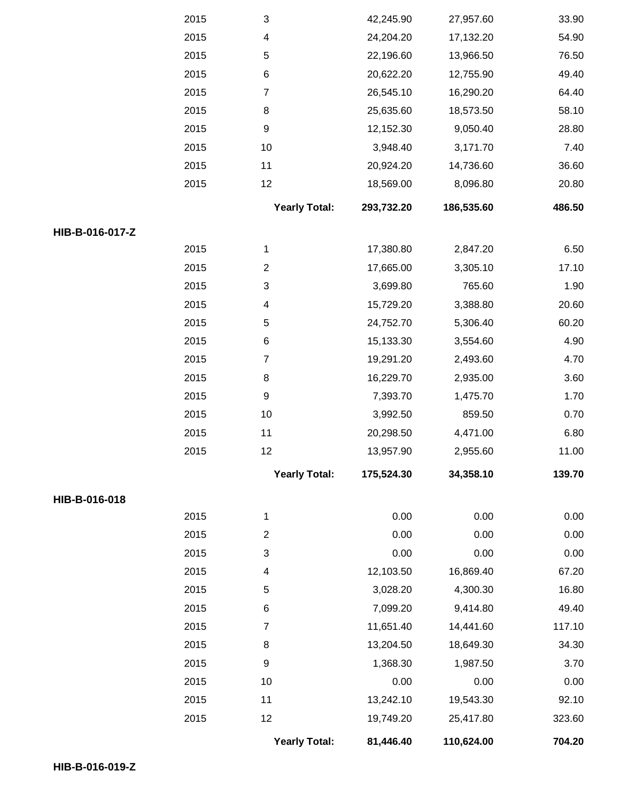|                 | 2015 | 3                         | 42,245.90  | 27,957.60                                                                                                                                                                       | 33.90  |
|-----------------|------|---------------------------|------------|---------------------------------------------------------------------------------------------------------------------------------------------------------------------------------|--------|
|                 | 2015 | $\overline{\mathcal{A}}$  | 24,204.20  | 17,132.20                                                                                                                                                                       | 54.90  |
|                 | 2015 | $\,$ 5 $\,$               | 22,196.60  | 13,966.50                                                                                                                                                                       | 76.50  |
|                 | 2015 | $\,6$                     | 20,622.20  | 12,755.90                                                                                                                                                                       | 49.40  |
|                 | 2015 | $\boldsymbol{7}$          | 26,545.10  | 16,290.20                                                                                                                                                                       | 64.40  |
|                 | 2015 | $\,8\,$                   | 25,635.60  | 18,573.50                                                                                                                                                                       | 58.10  |
|                 | 2015 | $\boldsymbol{9}$          | 12,152.30  | 9,050.40                                                                                                                                                                        | 28.80  |
|                 | 2015 | $10$                      | 3,948.40   | 3,171.70                                                                                                                                                                        | 7.40   |
|                 | 2015 | 11                        | 20,924.20  | 14,736.60                                                                                                                                                                       | 36.60  |
|                 | 2015 | 12                        | 18,569.00  | 8,096.80                                                                                                                                                                        | 20.80  |
|                 |      | <b>Yearly Total:</b>      | 293,732.20 | 186,535.60                                                                                                                                                                      | 486.50 |
| HIB-B-016-017-Z |      |                           |            |                                                                                                                                                                                 |        |
|                 | 2015 | 1                         | 17,380.80  | 2,847.20                                                                                                                                                                        | 6.50   |
|                 | 2015 | $\overline{c}$            | 17,665.00  | 3,305.10                                                                                                                                                                        | 17.10  |
|                 | 2015 | $\ensuremath{\mathsf{3}}$ | 3,699.80   | 765.60                                                                                                                                                                          | 1.90   |
|                 | 2015 | 4                         | 15,729.20  | 3,388.80                                                                                                                                                                        | 20.60  |
|                 | 2015 | $\mathbf 5$               | 24,752.70  | 5,306.40                                                                                                                                                                        | 60.20  |
|                 | 2015 | $\,6$                     | 15,133.30  | 3,554.60                                                                                                                                                                        | 4.90   |
|                 | 2015 | $\overline{7}$            | 19,291.20  | 2,493.60                                                                                                                                                                        | 4.70   |
|                 | 2015 | 8                         | 16,229.70  | 2,935.00                                                                                                                                                                        | 3.60   |
|                 | 2015 | $\boldsymbol{9}$          | 7,393.70   | 1,475.70                                                                                                                                                                        | 1.70   |
|                 | 2015 | $10$                      | 3,992.50   | 859.50                                                                                                                                                                          | 0.70   |
|                 | 2015 | 11                        | 20,298.50  | 4,471.00                                                                                                                                                                        | 6.80   |
|                 | 2015 | 12                        | 13,957.90  | 2,955.60                                                                                                                                                                        | 11.00  |
|                 |      | <b>Yearly Total:</b>      | 175,524.30 | 34,358.10                                                                                                                                                                       | 139.70 |
| HIB-B-016-018   |      |                           |            | 0.00<br>0.00<br>0.00<br>0.00<br>0.00<br>0.00<br>16,869.40<br>4,300.30<br>9,414.80<br>14,441.60<br>18,649.30<br>1,987.50<br>0.00<br>0.00<br>19,543.30<br>25,417.80<br>110,624.00 |        |
|                 | 2015 | 1                         |            |                                                                                                                                                                                 | 0.00   |
|                 | 2015 | $\boldsymbol{2}$          |            |                                                                                                                                                                                 | 0.00   |
|                 | 2015 | $\ensuremath{\mathsf{3}}$ |            |                                                                                                                                                                                 | 0.00   |
|                 | 2015 | 4                         | 12,103.50  |                                                                                                                                                                                 | 67.20  |
|                 | 2015 | 5                         | 3,028.20   |                                                                                                                                                                                 | 16.80  |
|                 | 2015 | $\,6$                     | 7,099.20   |                                                                                                                                                                                 | 49.40  |
|                 | 2015 | $\boldsymbol{7}$          | 11,651.40  |                                                                                                                                                                                 | 117.10 |
|                 | 2015 | $\bf 8$                   | 13,204.50  |                                                                                                                                                                                 | 34.30  |
|                 | 2015 | $\boldsymbol{9}$          | 1,368.30   |                                                                                                                                                                                 | 3.70   |
|                 | 2015 | 10                        |            |                                                                                                                                                                                 | 0.00   |
|                 | 2015 | 11                        | 13,242.10  |                                                                                                                                                                                 | 92.10  |
|                 | 2015 | 12                        | 19,749.20  |                                                                                                                                                                                 | 323.60 |
|                 |      | <b>Yearly Total:</b>      | 81,446.40  |                                                                                                                                                                                 | 704.20 |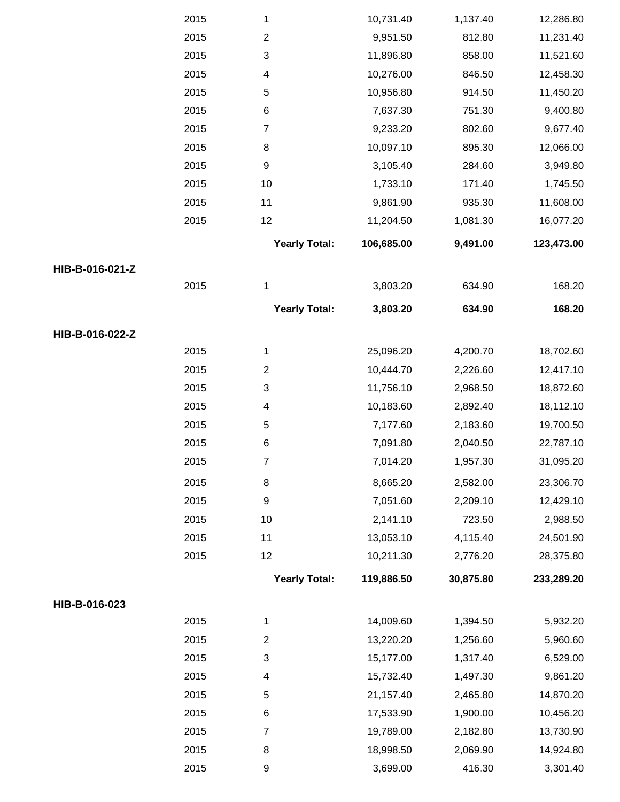|                 | 2015 | 1                        | 10,731.40  | 1,137.40  | 12,286.80  |
|-----------------|------|--------------------------|------------|-----------|------------|
|                 | 2015 | $\overline{c}$           | 9,951.50   | 812.80    | 11,231.40  |
|                 | 2015 | 3                        | 11,896.80  | 858.00    | 11,521.60  |
|                 | 2015 | 4                        | 10,276.00  | 846.50    | 12,458.30  |
|                 | 2015 | 5                        | 10,956.80  | 914.50    | 11,450.20  |
|                 | 2015 | 6                        | 7,637.30   | 751.30    | 9,400.80   |
|                 | 2015 | $\boldsymbol{7}$         | 9,233.20   | 802.60    | 9,677.40   |
|                 | 2015 | 8                        | 10,097.10  | 895.30    | 12,066.00  |
|                 | 2015 | $\boldsymbol{9}$         | 3,105.40   | 284.60    | 3,949.80   |
|                 | 2015 | 10                       | 1,733.10   | 171.40    | 1,745.50   |
|                 | 2015 | 11                       | 9,861.90   | 935.30    | 11,608.00  |
|                 | 2015 | 12                       | 11,204.50  | 1,081.30  | 16,077.20  |
|                 |      | <b>Yearly Total:</b>     | 106,685.00 | 9,491.00  | 123,473.00 |
| HIB-B-016-021-Z |      |                          |            |           |            |
|                 | 2015 | 1                        | 3,803.20   | 634.90    | 168.20     |
|                 |      | <b>Yearly Total:</b>     | 3,803.20   | 634.90    | 168.20     |
| HIB-B-016-022-Z |      |                          |            |           |            |
|                 | 2015 | $\mathbf{1}$             | 25,096.20  | 4,200.70  | 18,702.60  |
|                 | 2015 | $\overline{c}$           | 10,444.70  | 2,226.60  | 12,417.10  |
|                 | 2015 | 3                        | 11,756.10  | 2,968.50  | 18,872.60  |
|                 | 2015 | $\overline{\mathcal{A}}$ | 10,183.60  | 2,892.40  | 18,112.10  |
|                 | 2015 | $\mathbf 5$              | 7,177.60   | 2,183.60  | 19,700.50  |
|                 | 2015 | $\,6$                    | 7,091.80   | 2,040.50  | 22,787.10  |
|                 | 2015 | $\overline{7}$           | 7,014.20   | 1,957.30  | 31,095.20  |
|                 | 2015 | 8                        | 8,665.20   | 2,582.00  | 23,306.70  |
|                 | 2015 | 9                        | 7,051.60   | 2,209.10  | 12,429.10  |
|                 | 2015 | 10                       | 2,141.10   | 723.50    | 2,988.50   |
|                 | 2015 | 11                       | 13,053.10  | 4,115.40  | 24,501.90  |
|                 | 2015 | 12                       | 10,211.30  | 2,776.20  | 28,375.80  |
|                 |      | <b>Yearly Total:</b>     | 119,886.50 | 30,875.80 | 233,289.20 |
| HIB-B-016-023   |      |                          |            |           |            |
|                 | 2015 | 1                        | 14,009.60  | 1,394.50  | 5,932.20   |
|                 | 2015 | $\overline{\mathbf{c}}$  | 13,220.20  | 1,256.60  | 5,960.60   |
|                 | 2015 | 3                        | 15,177.00  | 1,317.40  | 6,529.00   |
|                 | 2015 | 4                        | 15,732.40  | 1,497.30  | 9,861.20   |
|                 | 2015 | 5                        | 21,157.40  | 2,465.80  | 14,870.20  |
|                 | 2015 | 6                        | 17,533.90  | 1,900.00  | 10,456.20  |
|                 | 2015 | $\overline{7}$           | 19,789.00  | 2,182.80  | 13,730.90  |
|                 | 2015 | 8                        | 18,998.50  | 2,069.90  | 14,924.80  |
|                 | 2015 | 9                        | 3,699.00   | 416.30    | 3,301.40   |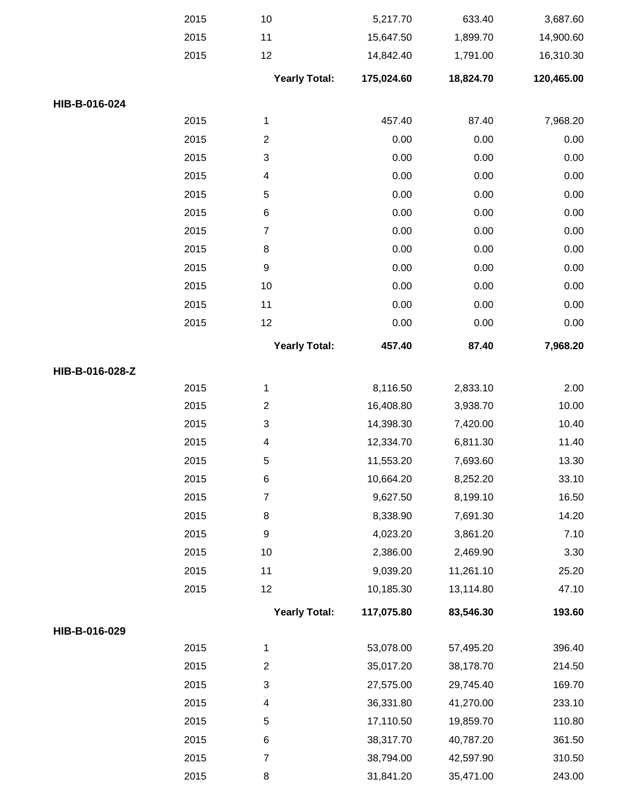|                 | 2015 | 10                   | 5,217.70   | 633.40    | 3,687.60   |
|-----------------|------|----------------------|------------|-----------|------------|
|                 | 2015 | 11                   | 15,647.50  | 1,899.70  | 14,900.60  |
|                 | 2015 | 12                   | 14,842.40  | 1,791.00  | 16,310.30  |
|                 |      | <b>Yearly Total:</b> | 175,024.60 | 18,824.70 | 120,465.00 |
| HIB-B-016-024   |      |                      |            |           |            |
|                 | 2015 | 1                    | 457.40     | 87.40     | 7,968.20   |
|                 | 2015 | $\overline{c}$       | 0.00       | 0.00      | 0.00       |
|                 | 2015 | 3                    | 0.00       | 0.00      | 0.00       |
|                 | 2015 | 4                    | 0.00       | 0.00      | 0.00       |
|                 | 2015 | 5                    | 0.00       | 0.00      | 0.00       |
|                 | 2015 | $\,6$                | 0.00       | 0.00      | 0.00       |
|                 | 2015 | 7                    | 0.00       | 0.00      | 0.00       |
|                 | 2015 | 8                    | 0.00       | 0.00      | 0.00       |
|                 | 2015 | 9                    | 0.00       | 0.00      | 0.00       |
|                 | 2015 | 10                   | 0.00       | 0.00      | 0.00       |
|                 | 2015 | 11                   | 0.00       | 0.00      | 0.00       |
|                 | 2015 | 12                   | 0.00       | 0.00      | 0.00       |
|                 |      | <b>Yearly Total:</b> | 457.40     | 87.40     | 7,968.20   |
| HIB-B-016-028-Z |      |                      |            |           |            |
|                 | 2015 | 1                    | 8,116.50   | 2,833.10  | 2.00       |
|                 | 2015 | $\overline{2}$       | 16,408.80  | 3,938.70  | 10.00      |
|                 | 2015 | 3                    | 14,398.30  | 7,420.00  | 10.40      |
|                 | 2015 | 4                    | 12,334.70  | 6,811.30  | 11.40      |
|                 | 2015 | 5                    | 11,553.20  | 7,693.60  | 13.30      |
|                 | 2015 | 6                    | 10,664.20  | 8,252.20  | 33.10      |
|                 | 2015 | $\overline{7}$       | 9,627.50   | 8,199.10  | 16.50      |
|                 | 2015 | 8                    | 8,338.90   | 7,691.30  | 14.20      |
|                 | 2015 | $\boldsymbol{9}$     | 4,023.20   | 3,861.20  | 7.10       |
|                 | 2015 | 10                   | 2,386.00   | 2,469.90  | 3.30       |
|                 | 2015 | 11                   | 9,039.20   | 11,261.10 | 25.20      |
|                 | 2015 | 12                   | 10,185.30  | 13,114.80 | 47.10      |
|                 |      | <b>Yearly Total:</b> | 117,075.80 | 83,546.30 | 193.60     |
| HIB-B-016-029   |      |                      |            |           |            |
|                 | 2015 | $\mathbf{1}$         | 53,078.00  | 57,495.20 | 396.40     |
|                 | 2015 | $\overline{2}$       | 35,017.20  | 38,178.70 | 214.50     |
|                 | 2015 | 3                    | 27,575.00  | 29,745.40 | 169.70     |
|                 | 2015 | 4                    | 36,331.80  | 41,270.00 | 233.10     |
|                 | 2015 | 5                    | 17,110.50  | 19,859.70 | 110.80     |
|                 | 2015 | 6                    | 38,317.70  | 40,787.20 | 361.50     |
|                 | 2015 | $\overline{7}$       | 38,794.00  | 42,597.90 | 310.50     |
|                 | 2015 | 8                    | 31,841.20  | 35,471.00 | 243.00     |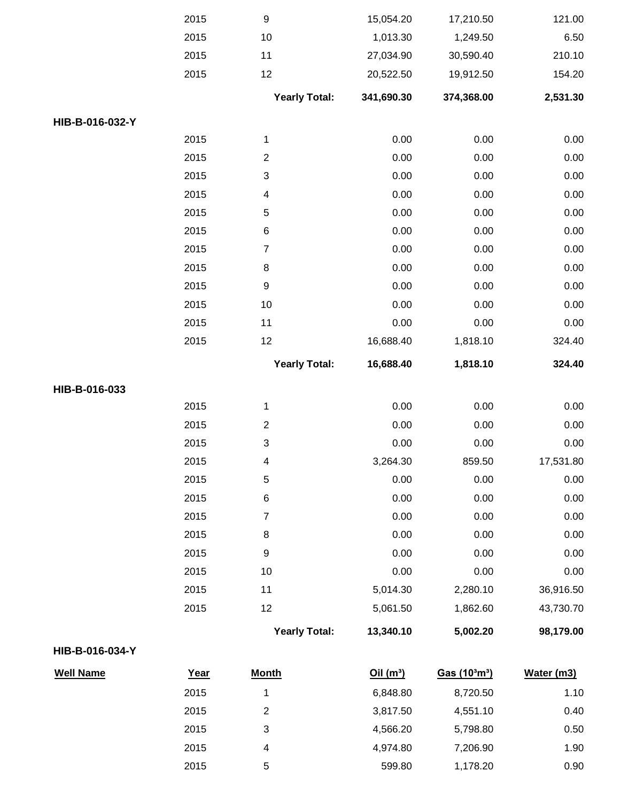|                 | 2015 | $\boldsymbol{9}$        | 15,054.20  | 17,210.50  | 121.00    |
|-----------------|------|-------------------------|------------|------------|-----------|
|                 | 2015 | 10                      | 1,013.30   | 1,249.50   | 6.50      |
|                 | 2015 | 11                      | 27,034.90  | 30,590.40  | 210.10    |
|                 | 2015 | 12                      | 20,522.50  | 19,912.50  | 154.20    |
|                 |      | <b>Yearly Total:</b>    | 341,690.30 | 374,368.00 | 2,531.30  |
| HIB-B-016-032-Y |      |                         |            |            |           |
|                 | 2015 | $\mathbf{1}$            | 0.00       | 0.00       | 0.00      |
|                 | 2015 | $\overline{\mathbf{c}}$ | 0.00       | 0.00       | 0.00      |
|                 | 2015 | 3                       | 0.00       | 0.00       | 0.00      |
|                 | 2015 | 4                       | 0.00       | 0.00       | 0.00      |
|                 | 2015 | 5                       | 0.00       | 0.00       | 0.00      |
|                 | 2015 | 6                       | 0.00       | 0.00       | 0.00      |
|                 | 2015 | $\overline{7}$          | 0.00       | 0.00       | 0.00      |
|                 | 2015 | 8                       | 0.00       | 0.00       | 0.00      |
|                 | 2015 | $\boldsymbol{9}$        | 0.00       | 0.00       | 0.00      |
|                 | 2015 | 10                      | 0.00       | 0.00       | 0.00      |
|                 | 2015 | 11                      | 0.00       | 0.00       | 0.00      |
|                 | 2015 | 12                      | 16,688.40  | 1,818.10   | 324.40    |
|                 |      | <b>Yearly Total:</b>    | 16,688.40  | 1,818.10   | 324.40    |
| HIB-B-016-033   |      |                         |            |            |           |
|                 | 2015 | $\mathbf{1}$            | 0.00       | 0.00       | 0.00      |
|                 | 2015 | $\overline{\mathbf{c}}$ | 0.00       | 0.00       | 0.00      |
|                 | 2015 | 3                       | 0.00       | 0.00       | 0.00      |
|                 |      |                         |            |            |           |
|                 | 2015 | 4                       | 3,264.30   | 859.50     | 17,531.80 |
|                 | 2015 | 5                       | 0.00       | 0.00       | 0.00      |
|                 | 2015 | $\,6$                   | 0.00       | 0.00       | 0.00      |
|                 | 2015 | $\overline{\mathbf{7}}$ | 0.00       | 0.00       | 0.00      |
|                 | 2015 | $\bf 8$                 | 0.00       | 0.00       | 0.00      |
|                 | 2015 | $\boldsymbol{9}$        | 0.00       | 0.00       | 0.00      |
|                 | 2015 | 10                      | 0.00       | 0.00       | 0.00      |
|                 | 2015 | 11                      | 5,014.30   | 2,280.10   | 36,916.50 |
|                 | 2015 | 12                      | 5,061.50   | 1,862.60   | 43,730.70 |
|                 |      | <b>Yearly Total:</b>    | 13,340.10  | 5,002.20   | 98,179.00 |

## **HIB-B-016-034-Y**

| <b>Well Name</b> | <u>Year</u> | <b>Month</b> | Oil(m <sup>3</sup> ) | Gas $(103m3)$ | Water (m3) |
|------------------|-------------|--------------|----------------------|---------------|------------|
|                  | 2015        |              | 6,848.80             | 8,720.50      | 1.10       |
|                  | 2015        | 2            | 3,817.50             | 4,551.10      | 0.40       |
|                  | 2015        | 3            | 4,566.20             | 5,798.80      | 0.50       |
|                  | 2015        | 4            | 4,974.80             | 7,206.90      | 1.90       |
|                  | 2015        | 5            | 599.80               | 1,178.20      | 0.90       |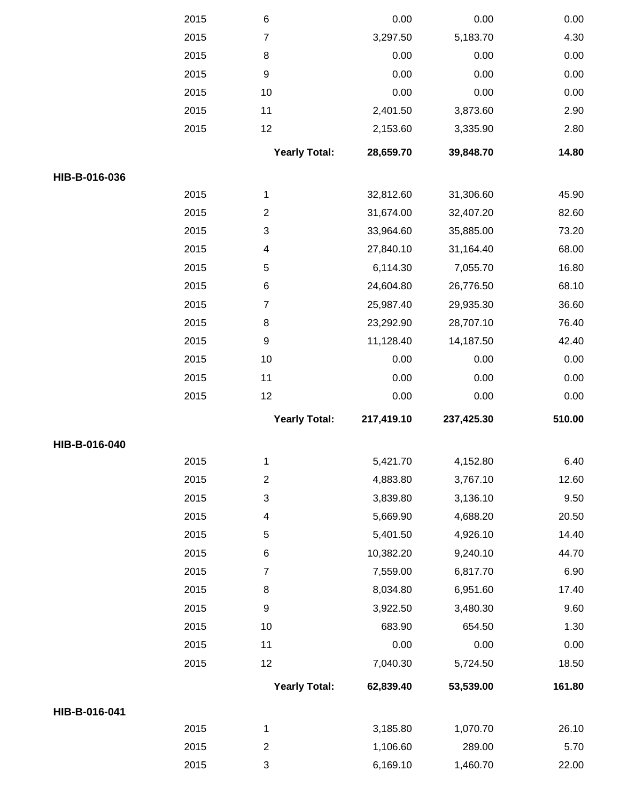|               | 2015 | $\,6$                | 0.00       | 0.00       | 0.00   |
|---------------|------|----------------------|------------|------------|--------|
|               | 2015 | $\overline{7}$       | 3,297.50   | 5,183.70   | 4.30   |
|               | 2015 | $\bf 8$              | 0.00       | 0.00       | 0.00   |
|               | 2015 | $\boldsymbol{9}$     | 0.00       | 0.00       | 0.00   |
|               | 2015 | 10                   | 0.00       | 0.00       | 0.00   |
|               | 2015 | 11                   | 2,401.50   | 3,873.60   | 2.90   |
|               | 2015 | 12                   | 2,153.60   | 3,335.90   | 2.80   |
|               |      | <b>Yearly Total:</b> | 28,659.70  | 39,848.70  | 14.80  |
| HIB-B-016-036 |      |                      |            |            |        |
|               | 2015 | 1                    | 32,812.60  | 31,306.60  | 45.90  |
|               | 2015 | $\overline{2}$       | 31,674.00  | 32,407.20  | 82.60  |
|               | 2015 | 3                    | 33,964.60  | 35,885.00  | 73.20  |
|               | 2015 | 4                    | 27,840.10  | 31,164.40  | 68.00  |
|               | 2015 | 5                    | 6,114.30   | 7,055.70   | 16.80  |
|               | 2015 | 6                    | 24,604.80  | 26,776.50  | 68.10  |
|               | 2015 | $\overline{7}$       | 25,987.40  | 29,935.30  | 36.60  |
|               | 2015 | $\bf 8$              | 23,292.90  | 28,707.10  | 76.40  |
|               | 2015 | $\boldsymbol{9}$     | 11,128.40  | 14,187.50  | 42.40  |
|               | 2015 | 10                   | 0.00       | 0.00       | 0.00   |
|               | 2015 | 11                   | 0.00       | 0.00       | 0.00   |
|               | 2015 | 12                   | 0.00       | 0.00       | 0.00   |
|               |      | <b>Yearly Total:</b> | 217,419.10 | 237,425.30 | 510.00 |
| HIB-B-016-040 |      |                      |            |            |        |
|               | 2015 | 1                    | 5,421.70   | 4,152.80   | 6.40   |
|               | 2015 | $\overline{2}$       | 4,883.80   | 3,767.10   | 12.60  |
|               | 2015 | 3                    | 3,839.80   | 3,136.10   | 9.50   |
|               | 2015 | 4                    | 5,669.90   | 4,688.20   | 20.50  |
|               | 2015 | 5                    | 5,401.50   | 4,926.10   | 14.40  |
|               | 2015 | 6                    | 10,382.20  | 9,240.10   | 44.70  |
|               | 2015 | $\overline{7}$       | 7,559.00   | 6,817.70   | 6.90   |
|               | 2015 | 8                    | 8,034.80   | 6,951.60   | 17.40  |
|               | 2015 | $\boldsymbol{9}$     | 3,922.50   | 3,480.30   | 9.60   |
|               | 2015 | 10                   | 683.90     | 654.50     | 1.30   |
|               | 2015 | 11                   | 0.00       | 0.00       | 0.00   |
|               | 2015 | 12                   | 7,040.30   | 5,724.50   | 18.50  |
|               |      | <b>Yearly Total:</b> | 62,839.40  | 53,539.00  | 161.80 |
| HIB-B-016-041 |      |                      |            |            |        |
|               | 2015 | $\mathbf{1}$         | 3,185.80   | 1,070.70   | 26.10  |
|               | 2015 | $\overline{c}$       | 1,106.60   | 289.00     | 5.70   |
|               | 2015 | 3                    | 6,169.10   | 1,460.70   | 22.00  |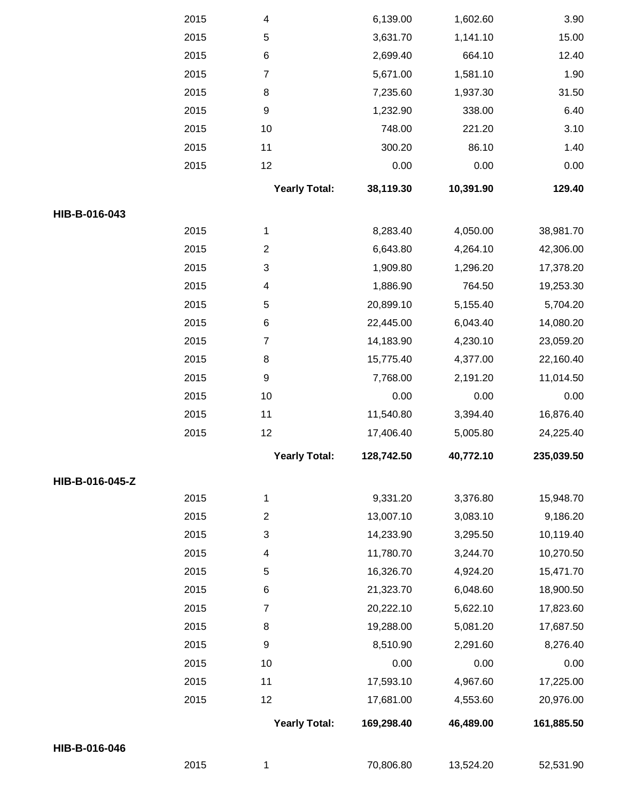|                 | 2015 | 4                       | 6,139.00   | 1,602.60  | 3.90       |
|-----------------|------|-------------------------|------------|-----------|------------|
|                 | 2015 | 5                       | 3,631.70   | 1,141.10  | 15.00      |
|                 | 2015 | $\,6$                   | 2,699.40   | 664.10    | 12.40      |
|                 | 2015 | $\overline{7}$          | 5,671.00   | 1,581.10  | 1.90       |
|                 | 2015 | 8                       | 7,235.60   | 1,937.30  | 31.50      |
|                 | 2015 | $\boldsymbol{9}$        | 1,232.90   | 338.00    | 6.40       |
|                 | 2015 | 10                      | 748.00     | 221.20    | 3.10       |
|                 | 2015 | 11                      | 300.20     | 86.10     | 1.40       |
|                 | 2015 | 12                      | 0.00       | 0.00      | 0.00       |
|                 |      | <b>Yearly Total:</b>    | 38,119.30  | 10,391.90 | 129.40     |
| HIB-B-016-043   |      |                         |            |           |            |
|                 | 2015 | 1                       | 8,283.40   | 4,050.00  | 38,981.70  |
|                 | 2015 | $\boldsymbol{2}$        | 6,643.80   | 4,264.10  | 42,306.00  |
|                 | 2015 | 3                       | 1,909.80   | 1,296.20  | 17,378.20  |
|                 | 2015 | 4                       | 1,886.90   | 764.50    | 19,253.30  |
|                 | 2015 | $\,$ 5 $\,$             | 20,899.10  | 5,155.40  | 5,704.20   |
|                 | 2015 | $\,6$                   | 22,445.00  | 6,043.40  | 14,080.20  |
|                 | 2015 | $\overline{7}$          | 14,183.90  | 4,230.10  | 23,059.20  |
|                 | 2015 | 8                       | 15,775.40  | 4,377.00  | 22,160.40  |
|                 | 2015 | $\boldsymbol{9}$        | 7,768.00   | 2,191.20  | 11,014.50  |
|                 | 2015 | 10                      | 0.00       | 0.00      | 0.00       |
|                 | 2015 | 11                      | 11,540.80  | 3,394.40  | 16,876.40  |
|                 | 2015 | 12                      | 17,406.40  | 5,005.80  | 24,225.40  |
|                 |      | <b>Yearly Total:</b>    | 128,742.50 | 40,772.10 | 235,039.50 |
| HIB-B-016-045-Z |      |                         |            |           |            |
|                 | 2015 | 1                       | 9,331.20   | 3,376.80  | 15,948.70  |
|                 | 2015 | $\overline{\mathbf{c}}$ | 13,007.10  | 3,083.10  | 9,186.20   |
|                 | 2015 | 3                       | 14,233.90  | 3,295.50  | 10,119.40  |
|                 | 2015 | 4                       | 11,780.70  | 3,244.70  | 10,270.50  |
|                 | 2015 | 5                       | 16,326.70  | 4,924.20  | 15,471.70  |
|                 | 2015 | 6                       | 21,323.70  | 6,048.60  | 18,900.50  |
|                 | 2015 | $\overline{7}$          | 20,222.10  | 5,622.10  | 17,823.60  |
|                 | 2015 | 8                       | 19,288.00  | 5,081.20  | 17,687.50  |
|                 | 2015 | $\boldsymbol{9}$        | 8,510.90   | 2,291.60  | 8,276.40   |
|                 | 2015 | 10                      | 0.00       | 0.00      | 0.00       |
|                 | 2015 | 11                      | 17,593.10  | 4,967.60  | 17,225.00  |
|                 | 2015 | 12                      | 17,681.00  | 4,553.60  | 20,976.00  |
|                 |      | <b>Yearly Total:</b>    | 169,298.40 | 46,489.00 | 161,885.50 |
| HIB-B-016-046   |      |                         |            |           |            |
|                 | 2015 | 1                       | 70,806.80  | 13,524.20 | 52,531.90  |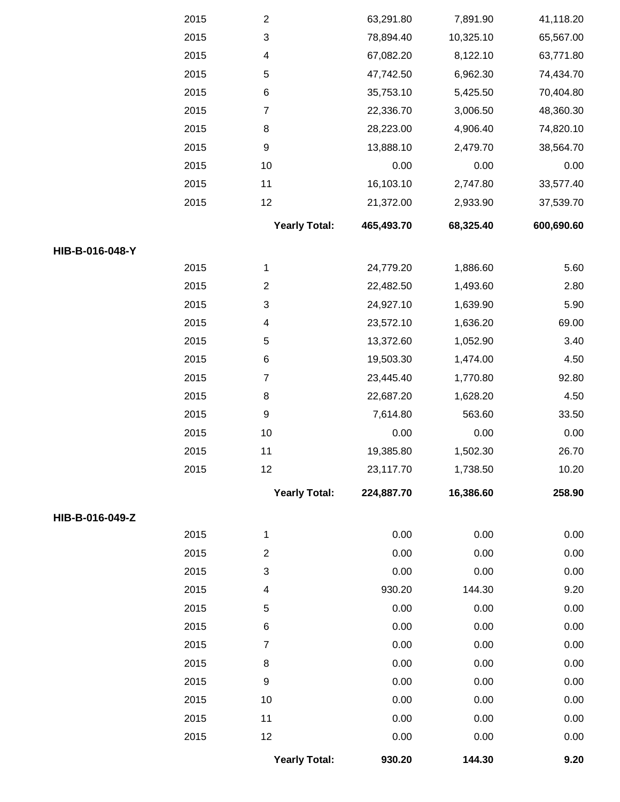|                 | 2015 | $\overline{c}$            | 63,291.80  | 7,891.90  | 41,118.20  |
|-----------------|------|---------------------------|------------|-----------|------------|
|                 | 2015 | $\ensuremath{\mathsf{3}}$ | 78,894.40  | 10,325.10 | 65,567.00  |
|                 | 2015 | 4                         | 67,082.20  | 8,122.10  | 63,771.80  |
|                 | 2015 | 5                         | 47,742.50  | 6,962.30  | 74,434.70  |
|                 | 2015 | 6                         | 35,753.10  | 5,425.50  | 70,404.80  |
|                 | 2015 | $\overline{7}$            | 22,336.70  | 3,006.50  | 48,360.30  |
|                 | 2015 | 8                         | 28,223.00  | 4,906.40  | 74,820.10  |
|                 | 2015 | 9                         | 13,888.10  | 2,479.70  | 38,564.70  |
|                 | 2015 | 10                        | 0.00       | 0.00      | 0.00       |
|                 | 2015 | 11                        | 16,103.10  | 2,747.80  | 33,577.40  |
|                 | 2015 | 12                        | 21,372.00  | 2,933.90  | 37,539.70  |
|                 |      | <b>Yearly Total:</b>      | 465,493.70 | 68,325.40 | 600,690.60 |
| HIB-B-016-048-Y |      |                           |            |           |            |
|                 | 2015 | 1                         | 24,779.20  | 1,886.60  | 5.60       |
|                 | 2015 | $\mathbf{2}$              | 22,482.50  | 1,493.60  | 2.80       |
|                 | 2015 | $\ensuremath{\mathsf{3}}$ | 24,927.10  | 1,639.90  | 5.90       |
|                 | 2015 | $\overline{4}$            | 23,572.10  | 1,636.20  | 69.00      |
|                 | 2015 | 5                         | 13,372.60  | 1,052.90  | 3.40       |
|                 | 2015 | 6                         | 19,503.30  | 1,474.00  | 4.50       |
|                 | 2015 | $\boldsymbol{7}$          | 23,445.40  | 1,770.80  | 92.80      |
|                 | 2015 | 8                         | 22,687.20  | 1,628.20  | 4.50       |
|                 | 2015 | 9                         | 7,614.80   | 563.60    | 33.50      |
|                 | 2015 | 10                        | 0.00       | 0.00      | 0.00       |
|                 | 2015 | 11                        | 19,385.80  | 1,502.30  | 26.70      |
|                 | 2015 | 12                        | 23,117.70  | 1,738.50  | 10.20      |
|                 |      | <b>Yearly Total:</b>      | 224,887.70 | 16,386.60 | 258.90     |
| HIB-B-016-049-Z |      |                           |            |           |            |
|                 | 2015 | 1                         | 0.00       | 0.00      | 0.00       |
|                 | 2015 | $\overline{2}$            | 0.00       | 0.00      | 0.00       |
|                 | 2015 | $\ensuremath{\mathsf{3}}$ | 0.00       | 0.00      | 0.00       |
|                 | 2015 | $\overline{4}$            | 930.20     | 144.30    | 9.20       |
|                 | 2015 | 5                         | 0.00       | 0.00      | 0.00       |
|                 | 2015 | 6                         | 0.00       | 0.00      | 0.00       |
|                 | 2015 | $\overline{7}$            | 0.00       | 0.00      | 0.00       |
|                 | 2015 | 8                         | 0.00       | 0.00      | 0.00       |
|                 | 2015 | 9                         | 0.00       | 0.00      | 0.00       |
|                 | 2015 | 10                        | 0.00       | 0.00      | 0.00       |
|                 | 2015 | 11                        | 0.00       | 0.00      | 0.00       |
|                 | 2015 | 12                        | 0.00       | 0.00      | 0.00       |
|                 |      | <b>Yearly Total:</b>      | 930.20     | 144.30    | 9.20       |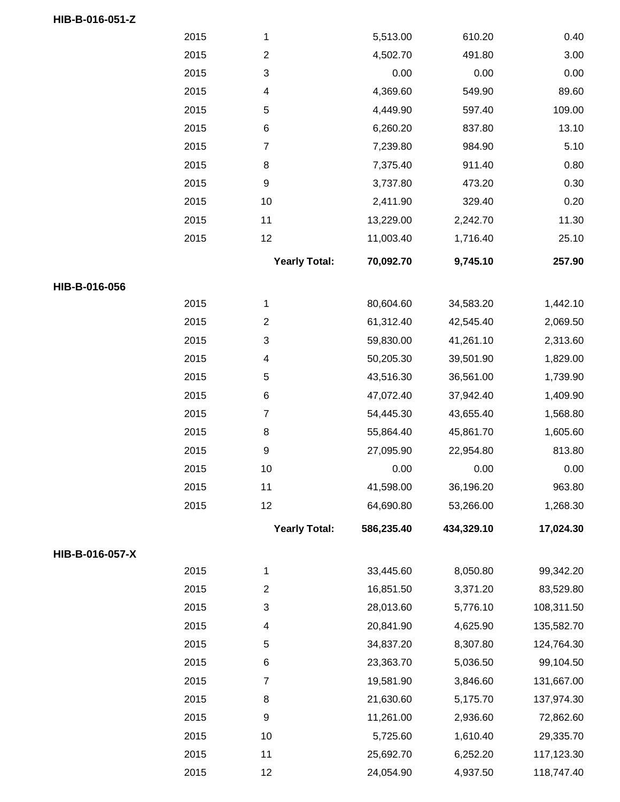|                 | 2015 | 1                         | 5,513.00   | 610.20     | 0.40       |
|-----------------|------|---------------------------|------------|------------|------------|
|                 | 2015 | $\sqrt{2}$                | 4,502.70   | 491.80     | 3.00       |
|                 | 2015 | 3                         | 0.00       | 0.00       | 0.00       |
|                 | 2015 | $\overline{\mathcal{A}}$  | 4,369.60   | 549.90     | 89.60      |
|                 | 2015 | $\,$ 5 $\,$               | 4,449.90   | 597.40     | 109.00     |
|                 | 2015 | $\,6$                     | 6,260.20   | 837.80     | 13.10      |
|                 | 2015 | $\overline{\mathbf{7}}$   | 7,239.80   | 984.90     | 5.10       |
|                 | 2015 | 8                         | 7,375.40   | 911.40     | 0.80       |
|                 | 2015 | $\boldsymbol{9}$          | 3,737.80   | 473.20     | 0.30       |
|                 | 2015 | $10$                      | 2,411.90   | 329.40     | 0.20       |
|                 | 2015 | 11                        | 13,229.00  | 2,242.70   | 11.30      |
|                 | 2015 | 12                        | 11,003.40  | 1,716.40   | 25.10      |
|                 |      | <b>Yearly Total:</b>      | 70,092.70  | 9,745.10   | 257.90     |
| HIB-B-016-056   |      |                           |            |            |            |
|                 | 2015 | 1                         | 80,604.60  | 34,583.20  | 1,442.10   |
|                 | 2015 | $\boldsymbol{2}$          | 61,312.40  | 42,545.40  | 2,069.50   |
|                 | 2015 | 3                         | 59,830.00  | 41,261.10  | 2,313.60   |
|                 | 2015 | $\overline{\mathcal{A}}$  | 50,205.30  | 39,501.90  | 1,829.00   |
|                 | 2015 | $\mathbf 5$               | 43,516.30  | 36,561.00  | 1,739.90   |
|                 | 2015 | $\,6$                     | 47,072.40  | 37,942.40  | 1,409.90   |
|                 | 2015 | 7                         | 54,445.30  | 43,655.40  | 1,568.80   |
|                 | 2015 | $\,8\,$                   | 55,864.40  | 45,861.70  | 1,605.60   |
|                 | 2015 | $\boldsymbol{9}$          | 27,095.90  | 22,954.80  | 813.80     |
|                 | 2015 | 10                        | 0.00       | 0.00       | 0.00       |
|                 | 2015 | 11                        | 41,598.00  | 36,196.20  | 963.80     |
|                 | 2015 | 12                        | 64,690.80  | 53,266.00  | 1,268.30   |
|                 |      | <b>Yearly Total:</b>      | 586,235.40 | 434,329.10 | 17,024.30  |
| HIB-B-016-057-X |      |                           |            |            |            |
|                 | 2015 | 1                         | 33,445.60  | 8,050.80   | 99,342.20  |
|                 | 2015 | $\mathbf{2}$              | 16,851.50  | 3,371.20   | 83,529.80  |
|                 | 2015 | $\ensuremath{\mathsf{3}}$ | 28,013.60  | 5,776.10   | 108,311.50 |
|                 | 2015 | 4                         | 20,841.90  | 4,625.90   | 135,582.70 |
|                 | 2015 | $\,$ 5 $\,$               | 34,837.20  | 8,307.80   | 124,764.30 |
|                 | 2015 | $\,6$                     | 23,363.70  | 5,036.50   | 99,104.50  |
|                 | 2015 | $\boldsymbol{7}$          | 19,581.90  | 3,846.60   | 131,667.00 |
|                 | 2015 | 8                         | 21,630.60  | 5,175.70   | 137,974.30 |
|                 | 2015 | $\boldsymbol{9}$          | 11,261.00  | 2,936.60   | 72,862.60  |
|                 | 2015 | 10                        | 5,725.60   | 1,610.40   | 29,335.70  |
|                 | 2015 | 11                        | 25,692.70  | 6,252.20   | 117,123.30 |
|                 | 2015 | 12                        | 24,054.90  | 4,937.50   | 118,747.40 |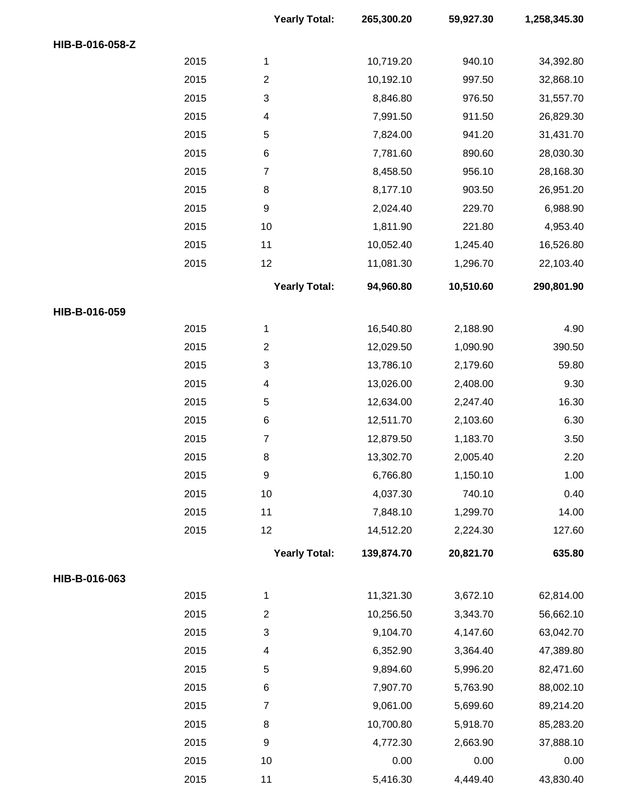|                 |      | <b>Yearly Total:</b> | 265,300.20 | 59,927.30 | 1,258,345.30 |
|-----------------|------|----------------------|------------|-----------|--------------|
| HIB-B-016-058-Z |      |                      |            |           |              |
|                 | 2015 | $\mathbf{1}$         | 10,719.20  | 940.10    | 34,392.80    |
|                 | 2015 | $\overline{c}$       | 10,192.10  | 997.50    | 32,868.10    |
|                 | 2015 | $\sqrt{3}$           | 8,846.80   | 976.50    | 31,557.70    |
|                 | 2015 | 4                    | 7,991.50   | 911.50    | 26,829.30    |
|                 | 2015 | 5                    | 7,824.00   | 941.20    | 31,431.70    |
|                 | 2015 | $\,6$                | 7,781.60   | 890.60    | 28,030.30    |
|                 | 2015 | $\overline{7}$       | 8,458.50   | 956.10    | 28,168.30    |
|                 | 2015 | 8                    | 8,177.10   | 903.50    | 26,951.20    |
|                 | 2015 | $\boldsymbol{9}$     | 2,024.40   | 229.70    | 6,988.90     |
|                 | 2015 | 10                   | 1,811.90   | 221.80    | 4,953.40     |
|                 | 2015 | 11                   | 10,052.40  | 1,245.40  | 16,526.80    |
|                 | 2015 | 12                   | 11,081.30  | 1,296.70  | 22,103.40    |
|                 |      | <b>Yearly Total:</b> | 94,960.80  | 10,510.60 | 290,801.90   |
| HIB-B-016-059   |      |                      |            |           |              |
|                 | 2015 | $\mathbf{1}$         | 16,540.80  | 2,188.90  | 4.90         |
|                 | 2015 | $\overline{c}$       | 12,029.50  | 1,090.90  | 390.50       |
|                 | 2015 | $\sqrt{3}$           | 13,786.10  | 2,179.60  | 59.80        |
|                 | 2015 | 4                    | 13,026.00  | 2,408.00  | 9.30         |
|                 | 2015 | $\mathbf 5$          | 12,634.00  | 2,247.40  | 16.30        |
|                 | 2015 | $\,6$                | 12,511.70  | 2,103.60  | 6.30         |
|                 | 2015 | $\boldsymbol{7}$     | 12,879.50  | 1,183.70  | 3.50         |
|                 | 2015 | 8                    | 13,302.70  | 2,005.40  | 2.20         |
|                 | 2015 | $\boldsymbol{9}$     | 6,766.80   | 1,150.10  | 1.00         |
|                 | 2015 | 10                   | 4,037.30   | 740.10    | 0.40         |
|                 | 2015 | 11                   | 7,848.10   | 1,299.70  | 14.00        |
|                 | 2015 | 12                   | 14,512.20  | 2,224.30  | 127.60       |
|                 |      | <b>Yearly Total:</b> | 139,874.70 | 20,821.70 | 635.80       |
| HIB-B-016-063   |      |                      |            |           |              |
|                 | 2015 | 1                    | 11,321.30  | 3,672.10  | 62,814.00    |
|                 | 2015 | $\overline{c}$       | 10,256.50  | 3,343.70  | 56,662.10    |
|                 | 2015 | 3                    | 9,104.70   | 4,147.60  | 63,042.70    |
|                 | 2015 | 4                    | 6,352.90   | 3,364.40  | 47,389.80    |
|                 | 2015 | 5                    | 9,894.60   | 5,996.20  | 82,471.60    |
|                 | 2015 | $\,6$                | 7,907.70   | 5,763.90  | 88,002.10    |
|                 | 2015 | $\overline{7}$       | 9,061.00   | 5,699.60  | 89,214.20    |
|                 | 2015 | 8                    | 10,700.80  | 5,918.70  | 85,283.20    |
|                 | 2015 | $\boldsymbol{9}$     | 4,772.30   | 2,663.90  | 37,888.10    |
|                 | 2015 | 10                   | 0.00       | 0.00      | 0.00         |
|                 | 2015 | 11                   | 5,416.30   | 4,449.40  | 43,830.40    |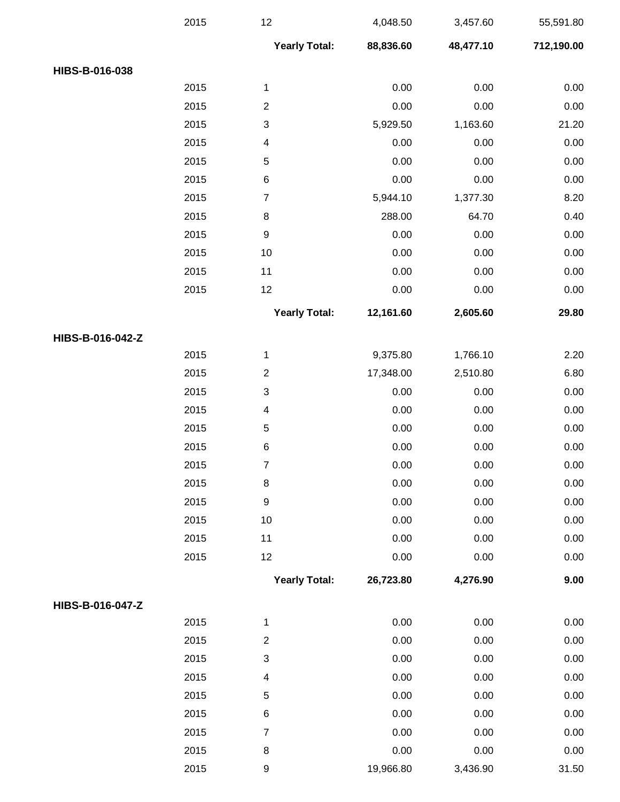|                  | 2015 | 12                        | 4,048.50  | 3,457.60  | 55,591.80  |
|------------------|------|---------------------------|-----------|-----------|------------|
|                  |      | <b>Yearly Total:</b>      | 88,836.60 | 48,477.10 | 712,190.00 |
| HIBS-B-016-038   |      |                           |           |           |            |
|                  | 2015 | $\mathbf{1}$              | 0.00      | 0.00      | 0.00       |
|                  | 2015 | $\boldsymbol{2}$          | 0.00      | 0.00      | 0.00       |
|                  | 2015 | $\ensuremath{\mathsf{3}}$ | 5,929.50  | 1,163.60  | 21.20      |
|                  | 2015 | $\overline{\mathcal{A}}$  | 0.00      | 0.00      | 0.00       |
|                  | 2015 | $\mathbf 5$               | 0.00      | 0.00      | 0.00       |
|                  | 2015 | $\,6$                     | 0.00      | 0.00      | 0.00       |
|                  | 2015 | $\boldsymbol{7}$          | 5,944.10  | 1,377.30  | 8.20       |
|                  | 2015 | 8                         | 288.00    | 64.70     | 0.40       |
|                  | 2015 | $\boldsymbol{9}$          | 0.00      | 0.00      | 0.00       |
|                  | 2015 | 10                        | 0.00      | 0.00      | 0.00       |
|                  | 2015 | 11                        | 0.00      | 0.00      | 0.00       |
|                  | 2015 | 12                        | 0.00      | 0.00      | $0.00\,$   |
|                  |      | <b>Yearly Total:</b>      | 12,161.60 | 2,605.60  | 29.80      |
| HIBS-B-016-042-Z |      |                           |           |           |            |
|                  | 2015 | $\mathbf{1}$              | 9,375.80  | 1,766.10  | 2.20       |
|                  | 2015 | $\boldsymbol{2}$          | 17,348.00 | 2,510.80  | 6.80       |
|                  | 2015 | $\ensuremath{\mathsf{3}}$ | 0.00      | 0.00      | 0.00       |
|                  | 2015 | 4                         | 0.00      | 0.00      | 0.00       |
|                  | 2015 | $\mathbf 5$               | 0.00      | 0.00      | 0.00       |
|                  | 2015 | $\,6$                     | 0.00      | 0.00      | 0.00       |
|                  | 2015 | $\overline{7}$            | 0.00      | 0.00      | 0.00       |
|                  | 2015 | 8                         | 0.00      | 0.00      | 0.00       |
|                  | 2015 | $\boldsymbol{9}$          | 0.00      | 0.00      | 0.00       |
|                  | 2015 | 10                        | 0.00      | 0.00      | 0.00       |
|                  | 2015 | 11                        | 0.00      | 0.00      | 0.00       |
|                  | 2015 | 12                        | 0.00      | 0.00      | 0.00       |
|                  |      | <b>Yearly Total:</b>      | 26,723.80 | 4,276.90  | 9.00       |
| HIBS-B-016-047-Z |      |                           |           |           |            |
|                  | 2015 | $\mathbf{1}$              | 0.00      | 0.00      | 0.00       |
|                  | 2015 | $\boldsymbol{2}$          | 0.00      | 0.00      | 0.00       |
|                  | 2015 | $\ensuremath{\mathsf{3}}$ | 0.00      | 0.00      | 0.00       |
|                  | 2015 | $\overline{\mathcal{A}}$  | 0.00      | 0.00      | 0.00       |
|                  | 2015 | $\mathbf 5$               | 0.00      | 0.00      | 0.00       |
|                  | 2015 | $\,6$                     | 0.00      | 0.00      | 0.00       |
|                  | 2015 | $\boldsymbol{7}$          | 0.00      | 0.00      | 0.00       |
|                  | 2015 | 8                         | 0.00      | 0.00      | 0.00       |
|                  | 2015 | $\boldsymbol{9}$          | 19,966.80 | 3,436.90  | 31.50      |